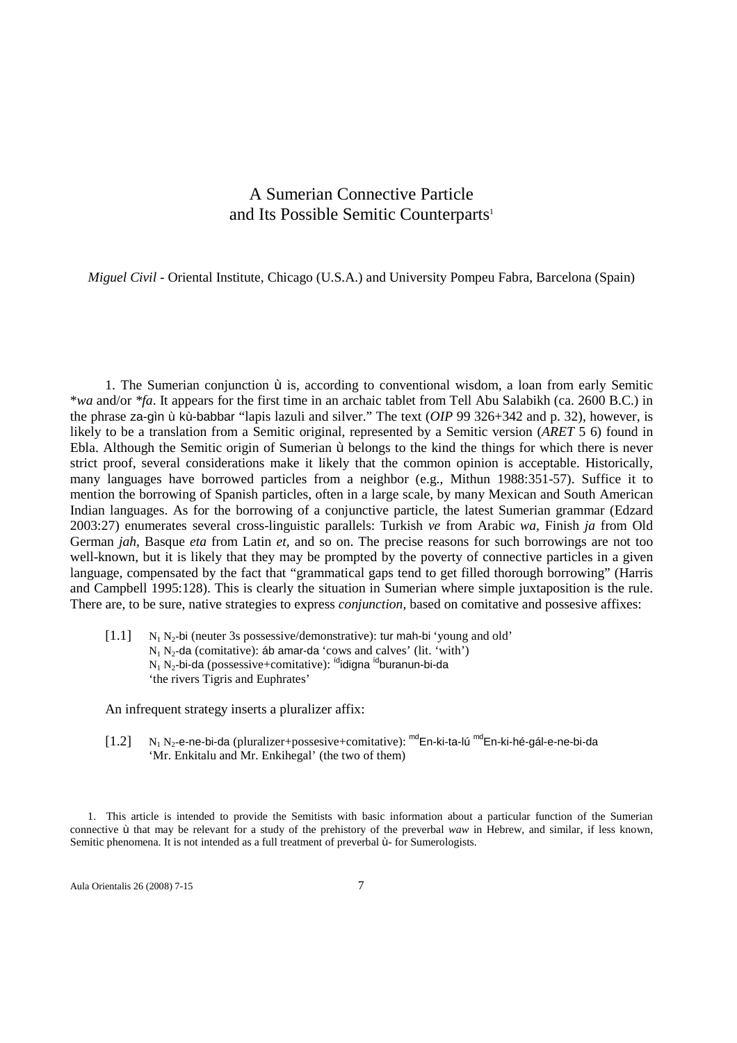## A Sumerian Connective Particle and Its Possible Semitic Counterparts<sup>1</sup>

*Miguel Civil -* Oriental Institute, Chicago (U.S.A.) and University Pompeu Fabra, Barcelona (Spain)

1. The Sumerian conjunction ù is, according to conventional wisdom, a loan from early Semitic \**wa* and/or *\*fa*. It appears for the first time in an archaic tablet from Tell Abu Salabikh (ca. 2600 B.C.) in the phrase za-gìn ù kù-babbar "lapis lazuli and silver." The text (*OIP* 99 326+342 and p. 32), however, is likely to be a translation from a Semitic original, represented by a Semitic version (*ARET* 5 6) found in Ebla. Although the Semitic origin of Sumerian ù belongs to the kind the things for which there is never strict proof, several considerations make it likely that the common opinion is acceptable. Historically, many languages have borrowed particles from a neighbor (e.g., Mithun 1988:351-57). Suffice it to mention the borrowing of Spanish particles, often in a large scale, by many Mexican and South American Indian languages. As for the borrowing of a conjunctive particle, the latest Sumerian grammar (Edzard 2003:27) enumerates several cross-linguistic parallels: Turkish *ve* from Arabic *wa,* Finish *ja* from Old German *jah,* Basque *eta* from Latin *et,* and so on. The precise reasons for such borrowings are not too well-known, but it is likely that they may be prompted by the poverty of connective particles in a given language, compensated by the fact that "grammatical gaps tend to get filled thorough borrowing" (Harris and Campbell 1995:128). This is clearly the situation in Sumerian where simple juxtaposition is the rule. There are, to be sure, native strategies to express *conjunction,* based on comitative and possesive affixes:

 $[1.1]$  N<sup>2</sup> -bi (neuter 3s possessive/demonstrative): tur mah-bi 'young and old'  $N_1 N_2$ -da (comitative): áb amar-da 'cows and calves' (lit. 'with') N<sub>1</sub> N<sub>2</sub>-bi-da (possessive+comitative): <sup>íd</sup>idigna <sup>íd</sup>buranun-bi-da 'the rivers Tigris and Euphrates'

An infrequent strategy inserts a pluralizer affix:

 $[1.2]$ N<sub>2</sub>-e-ne-bi-da (pluralizer+possesive+comitative): <sup>md</sup>En-ki-ta-lú <sup>md</sup>En-ki-hé-gál-e-ne-bi-da 'Mr. Enkitalu and Mr. Enkihegal' (the two of them)

1. This article is intended to provide the Semitists with basic information about a particular function of the Sumerian connective ù that may be relevant for a study of the prehistory of the preverbal *waw* in Hebrew, and similar, if less known, Semitic phenomena. It is not intended as a full treatment of preverbal ù- for Sumerologists.

Aula Orientalis 26 (2008) 7-15 7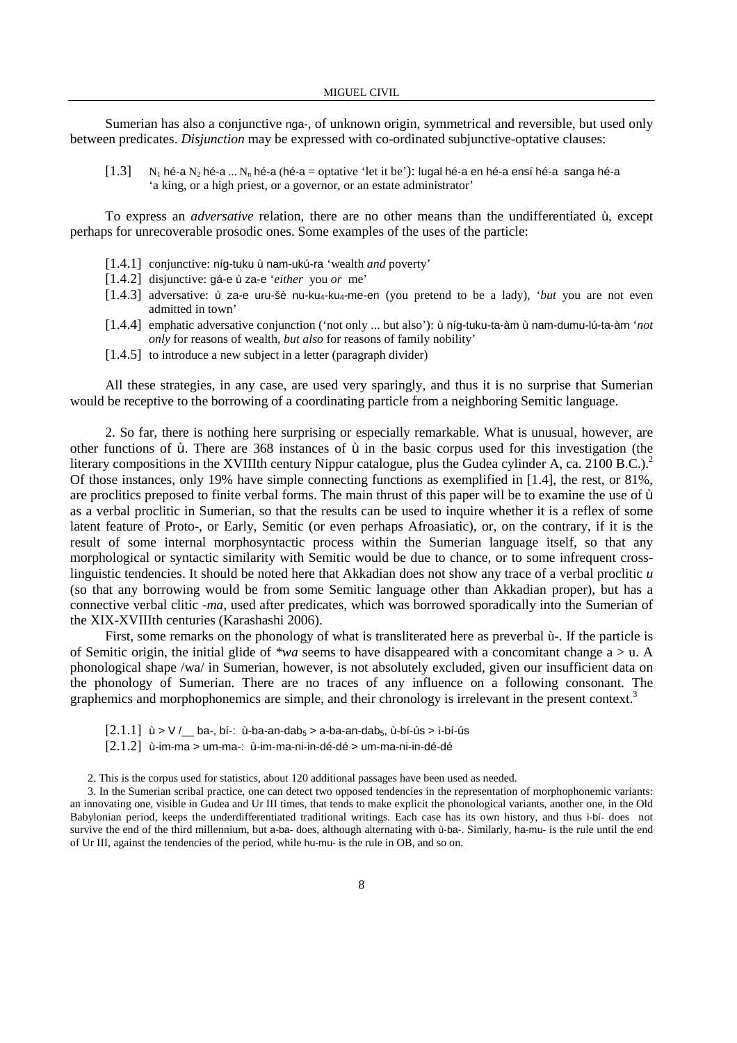Sumerian has also a conjunctive nga-, of unknown origin, symmetrical and reversible, but used only between predicates. *Disjunction* may be expressed with co-ordinated subjunctive-optative clauses:

 $[1.3]$  N<sub>1</sub> hé-a N<sub>2</sub> hé-a ... N<sub>n</sub> hé-a (hé-a = optative 'let it be'): lugal hé-a en hé-a ensí hé-a sanga hé-a 'a king, or a high priest, or a governor, or an estate administrator'

To express an *adversative* relation, there are no other means than the undifferentiated ù, except perhaps for unrecoverable prosodic ones. Some examples of the uses of the particle:

- [1.4.1] conjunctive: níg-tuku ù nam-ukú-ra 'wealth *and* poverty'
- [1.4.2] disjunctive: gá-e ù za-e '*either* you *or* me'
- [1.4.3] adversative: ù za-e uru-šè nu-ku4-ku4-me-en (you pretend to be a lady), '*but* you are not even admitted in town'
- [1.4.4] emphatic adversative conjunction ('not only ... but also'): ù níg-tuku-ta-àm ù nam-dumu-lú-ta-àm '*not only* for reasons of wealth, *but also* for reasons of family nobility'
- [1.4.5] to introduce a new subject in a letter (paragraph divider)

All these strategies, in any case, are used very sparingly, and thus it is no surprise that Sumerian would be receptive to the borrowing of a coordinating particle from a neighboring Semitic language.

2. So far, there is nothing here surprising or especially remarkable. What is unusual, however, are other functions of ù. There are 368 instances of ù in the basic corpus used for this investigation (the literary compositions in the XVIIIth century Nippur catalogue, plus the Gudea cylinder A, ca. 2100 B.C.).<sup>2</sup> Of those instances, only 19% have simple connecting functions as exemplified in [1.4], the rest, or 81%, are proclitics preposed to finite verbal forms. The main thrust of this paper will be to examine the use of ù as a verbal proclitic in Sumerian, so that the results can be used to inquire whether it is a reflex of some latent feature of Proto-, or Early, Semitic (or even perhaps Afroasiatic)*,* or, on the contrary, if it is the result of some internal morphosyntactic process within the Sumerian language itself, so that any morphological or syntactic similarity with Semitic would be due to chance, or to some infrequent crosslinguistic tendencies. It should be noted here that Akkadian does not show any trace of a verbal proclitic *u*  (so that any borrowing would be from some Semitic language other than Akkadian proper), but has a connective verbal clitic *-ma*, used after predicates, which was borrowed sporadically into the Sumerian of the XIX-XVIIIth centuries (Karashashi 2006).

First, some remarks on the phonology of what is transliterated here as preverbal ù-. If the particle is of Semitic origin, the initial glide of *\*wa* seems to have disappeared with a concomitant change a > u. A phonological shape /wa/ in Sumerian, however, is not absolutely excluded, given our insufficient data on the phonology of Sumerian. There are no traces of any influence on a following consonant. The graphemics and morphophonemics are simple, and their chronology is irrelevant in the present context.<sup>3</sup>

- $[2.1.1]$  ù > V / ba-, bí-: ù-ba-an-dab<sub>5</sub> > a-ba-an-dab<sub>5</sub>, ù-bí-ús > ì-bí-ús
- [2.1.2] ù-im-ma > um-ma-: ù-im-ma-ni-in-dé-dé > um-ma-ni-in-dé-dé

2. This is the corpus used for statistics, about 120 additional passages have been used as needed.

3. In the Sumerian scribal practice, one can detect two opposed tendencies in the representation of morphophonemic variants: an innovating one, visible in Gudea and Ur III times, that tends to make explicit the phonological variants, another one, in the Old Babylonian period, keeps the underdifferentiated traditional writings. Each case has its own history, and thus ì-bí- does not survive the end of the third millennium, but a-ba- does, although alternating with ù-ba-. Similarly, ha-mu- is the rule until the end of Ur III, against the tendencies of the period, while hu-mu- is the rule in OB, and so on.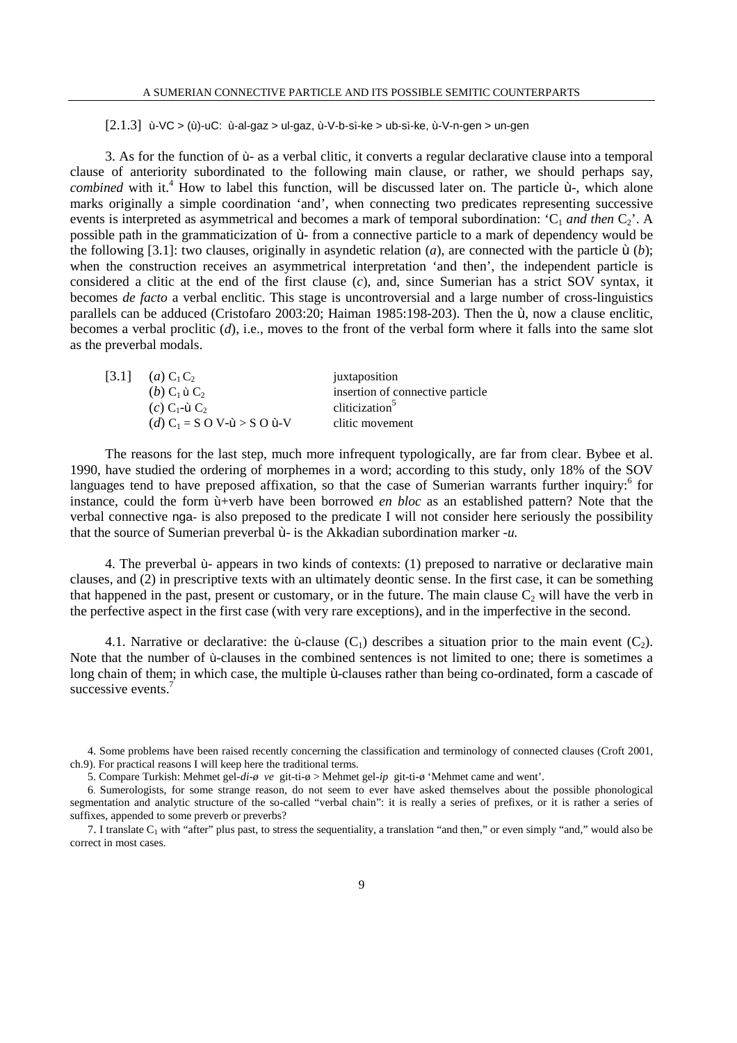$[2.1.3]$  ù-VC > (ù)-uC: ù-al-gaz > ul-gaz, ù-V-b-sì-ke > ub-sì-ke, ù-V-n-gen > un-gen

3. As for the function of ù- as a verbal clitic, it converts a regular declarative clause into a temporal clause of anteriority subordinated to the following main clause, or rather, we should perhaps say, *combined* with it.<sup>4</sup> How to label this function, will be discussed later on. The particle  $\dot{u}$ -, which alone marks originally a simple coordination 'and', when connecting two predicates representing successive events is interpreted as asymmetrical and becomes a mark of temporal subordination:  $C_1$  *and then*  $C_2$ <sup>'</sup>. A possible path in the grammaticization of ù- from a connective particle to a mark of dependency would be the following [3.1]: two clauses, originally in asyndetic relation (*a*), are connected with the particle ù (*b*); when the construction receives an asymmetrical interpretation 'and then', the independent particle is considered a clitic at the end of the first clause (*c*), and, since Sumerian has a strict SOV syntax, it becomes *de facto* a verbal enclitic. This stage is uncontroversial and a large number of cross-linguistics parallels can be adduced (Cristofaro 2003:20; Haiman 1985:198-203). Then the ù, now a clause enclitic, becomes a verbal proclitic (*d*), i.e., moves to the front of the verbal form where it falls into the same slot as the preverbal modals.

|  | [3.1] $(a) C_1 C_2$                                        | juxtaposition                    |
|--|------------------------------------------------------------|----------------------------------|
|  | $(b)$ C <sub>1</sub> ù C <sub>2</sub>                      | insertion of connective particle |
|  | $(c)$ C <sub>1</sub> -ù C <sub>2</sub>                     | cliticization <sup>3</sup>       |
|  | $(d)$ C <sub>1</sub> = S O V- $\dot{u}$ > S O $\dot{u}$ -V | clitic movement                  |

The reasons for the last step, much more infrequent typologically, are far from clear. Bybee et al. 1990, have studied the ordering of morphemes in a word; according to this study, only 18% of the SOV languages tend to have preposed affixation, so that the case of Sumerian warrants further inquiry:<sup>6</sup> for instance, could the form ù+verb have been borrowed *en bloc* as an established pattern? Note that the verbal connective nga- is also preposed to the predicate I will not consider here seriously the possibility that the source of Sumerian preverbal ù- is the Akkadian subordination marker *-u.*

4. The preverbal ù- appears in two kinds of contexts: (1) preposed to narrative or declarative main clauses, and (2) in prescriptive texts with an ultimately deontic sense. In the first case, it can be something that happened in the past, present or customary, or in the future. The main clause  $C_2$  will have the verb in the perfective aspect in the first case (with very rare exceptions), and in the imperfective in the second.

4.1. Narrative or declarative: the ù-clause  $(C_1)$  describes a situation prior to the main event  $(C_2)$ . Note that the number of ù-clauses in the combined sentences is not limited to one; there is sometimes a long chain of them; in which case, the multiple ù-clauses rather than being co-ordinated, form a cascade of successive events<sup>7</sup>

<sup>4.</sup> Some problems have been raised recently concerning the classification and terminology of connected clauses (Croft 2001, ch.9). For practical reasons I will keep here the traditional terms.

<sup>5.</sup> Compare Turkish: Mehmet gel-*di-ø ve* git-ti-ø > Mehmet gel-*ip* git-ti-ø 'Mehmet came and went'.

<sup>6</sup>. Sumerologists, for some strange reason, do not seem to ever have asked themselves about the possible phonological segmentation and analytic structure of the so-called "verbal chain": it is really a series of prefixes, or it is rather a series of suffixes, appended to some preverb or preverbs?

<sup>7.</sup> I translate  $C_1$  with "after" plus past, to stress the sequentiality, a translation "and then," or even simply "and," would also be correct in most cases.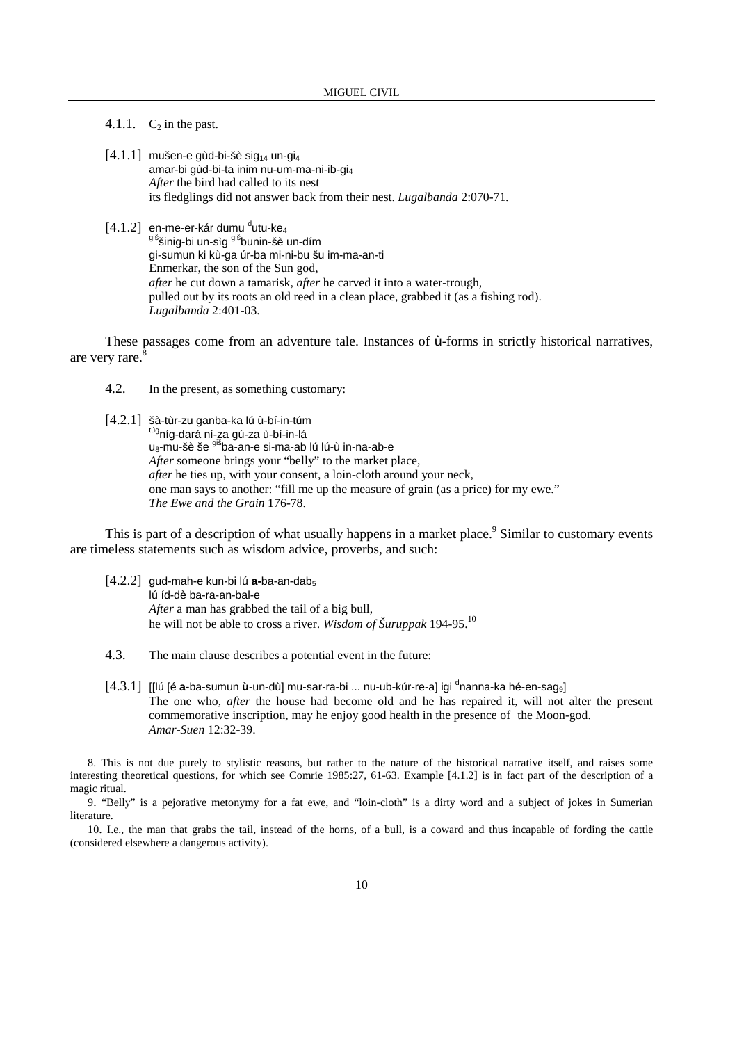4.1.1.  $C_2$  in the past.

 $[4.1.1]$  mušen-e gùd-bi-šè sig<sub>14</sub> un-gi<sub>4</sub> amar-bi gùd-bi-ta inim nu-um-ma-ni-ib-gi<sup>4</sup> *After* the bird had called to its nest its fledglings did not answer back from their nest. *Lugalbanda* 2:070-71*.*

## $[4.1.2]$  en-me-er-kár dumu <sup>d</sup>utu-ke<sub>4</sub> <sup>giš</sup>šinig-bi un-sìg <sup>giš</sup>bunin-šè un-dím gi-sumun ki kù-ga úr-ba mi-ni-bu šu im-ma-an-ti Enmerkar, the son of the Sun god, *after* he cut down a tamarisk, *after* he carved it into a water-trough, pulled out by its roots an old reed in a clean place, grabbed it (as a fishing rod). *Lugalbanda* 2:401-03.

These passages come from an adventure tale. Instances of ù-forms in strictly historical narratives, are very rare.

4.2. In the present, as something customary:

[4.2.1] šà-tùr-zu ganba-ka lú ù-bí-in-túm <sup>túg</sup>níg-dará ní-za gú-za ù-bí-in-lá u<sub>8</sub>-mu-šè še <sup>giš</sup>ba-an-e si-ma-ab lú lú-ù in-na-ab-e *After* someone brings your "belly" to the market place, *after* he ties up, with your consent, a loin-cloth around your neck, one man says to another: "fill me up the measure of grain (as a price) for my ewe." *The Ewe and the Grain* 176-78.

This is part of a description of what usually happens in a market place.<sup>9</sup> Similar to customary events are timeless statements such as wisdom advice, proverbs, and such:

- [4.2.2] gud-mah-e kun-bi lú **a-**ba-an-dab<sup>5</sup> lú íd-dè ba-ra-an-bal-e *After* a man has grabbed the tail of a big bull, he will not be able to cross a river. *Wisdom of Šuruppak* 194-95.<sup>10</sup>
- 4.3. The main clause describes a potential event in the future:
- [4.3.1] [[lú [é **a-**ba-sumun **ù**-un-dù] mu-sar-ra-bi ... nu-ub-kúr-re-a] igi <sup>d</sup>nanna-ka hé-en-sag<sub>9</sub>] The one who, *after* the house had become old and he has repaired it, will not alter the present commemorative inscription, may he enjoy good health in the presence of the Moon-god. *Amar-Suen* 12:32-39.

8. This is not due purely to stylistic reasons, but rather to the nature of the historical narrative itself, and raises some interesting theoretical questions, for which see Comrie 1985:27, 61-63. Example [4.1.2] is in fact part of the description of a magic ritual.

9. "Belly" is a pejorative metonymy for a fat ewe, and "loin-cloth" is a dirty word and a subject of jokes in Sumerian literature.

10. I.e., the man that grabs the tail, instead of the horns, of a bull, is a coward and thus incapable of fording the cattle (considered elsewhere a dangerous activity).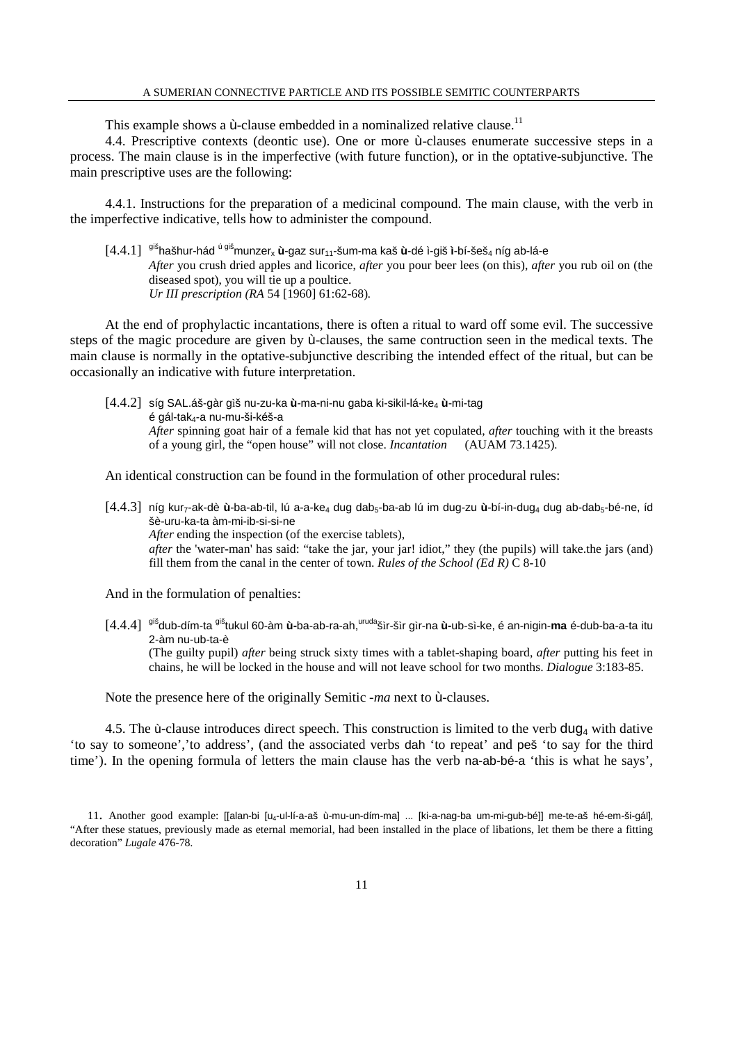This example shows a  $\dot{u}$ -clause embedded in a nominalized relative clause.<sup>11</sup>

4.4. Prescriptive contexts (deontic use). One or more ù-clauses enumerate successive steps in a process. The main clause is in the imperfective (with future function), or in the optative-subjunctive. The main prescriptive uses are the following:

4.4.1. Instructions for the preparation of a medicinal compound. The main clause, with the verb in the imperfective indicative, tells how to administer the compound.

[4.4.1] <sup>giš</sup>hašhur-hád <sup>ú giš</sup>munzer<sub>x</sub> ù-gaz sur<sub>11</sub>-šum-ma kaš ù-dé ì-giš ì-bí-šeš<sub>4</sub> níg ab-lá-e *After* you crush dried apples and licorice, *after* you pour beer lees (on this), *after* you rub oil on (the diseased spot), you will tie up a poultice. *Ur III prescription (RA* 54 [1960] 61:62-68)*.*

At the end of prophylactic incantations, there is often a ritual to ward off some evil. The successive steps of the magic procedure are given by ù-clauses, the same contruction seen in the medical texts. The main clause is normally in the optative-subjunctive describing the intended effect of the ritual, but can be occasionally an indicative with future interpretation.

[4.4.2] síg SAL.áš-gàr gìš nu-zu-ka **ù**-ma-ni-nu gaba ki-sikil-lá-ke<sup>4</sup> **ù**-mi-tag é gál-tak4-a nu-mu-ši-kéš-a *After* spinning goat hair of a female kid that has not yet copulated, *after* touching with it the breasts of a young girl, the "open house" will not close. *Incantation* (AUAM 73.1425)*.*

An identical construction can be found in the formulation of other procedural rules:

[4.4.3] níg kur<sub>7</sub>-ak-dè ù-ba-ab-til, lú a-a-ke<sub>4</sub> dug dab<sub>5</sub>-ba-ab lú im dug-zu ù-bí-in-dug<sub>4</sub> dug ab-dab<sub>5</sub>-bé-ne, íd šè-uru-ka-ta àm-mi-ib-si-si-ne *After* ending the inspection (of the exercise tablets), *after* the 'water-man' has said: "take the jar, your jar! idiot," they (the pupils) will take.the jars (and) fill them from the canal in the center of town. *Rules of the School (Ed R)* C 8-10

And in the formulation of penalties:

[4.4.4] gišdub-dím-ta gištukul 60-àm **ù-**ba-ab-ra-ah,urudašìr-šìr gìr-na **ù-**ub-sì-ke, é an-nigin-**ma** é-dub-ba-a-ta itu 2-àm nu-ub-ta-è (The guilty pupil) *after* being struck sixty times with a tablet-shaping board, *after* putting his feet in chains, he will be locked in the house and will not leave school for two months. *Dialogue* 3:183-85.

Note the presence here of the originally Semitic *-ma* next to ù-clauses.

4.5. The  $\dot{\mathbf{u}}$ -clause introduces direct speech. This construction is limited to the verb dug<sub>4</sub> with dative 'to say to someone','to address', (and the associated verbs dah 'to repeat' and peš 'to say for the third time'). In the opening formula of letters the main clause has the verb na-ab-bé-a 'this is what he says',

<sup>11.</sup> Another good example: [[alan-bi [u<sub>4</sub>-ul-lí-a-aš ù-mu-un-dím-ma] ... [ki-a-nag-ba um-mi-gub-bé]] me-te-aš hé-em-ši-gál], "After these statues, previously made as eternal memorial, had been installed in the place of libations, let them be there a fitting decoration" *Lugale* 476-78*.*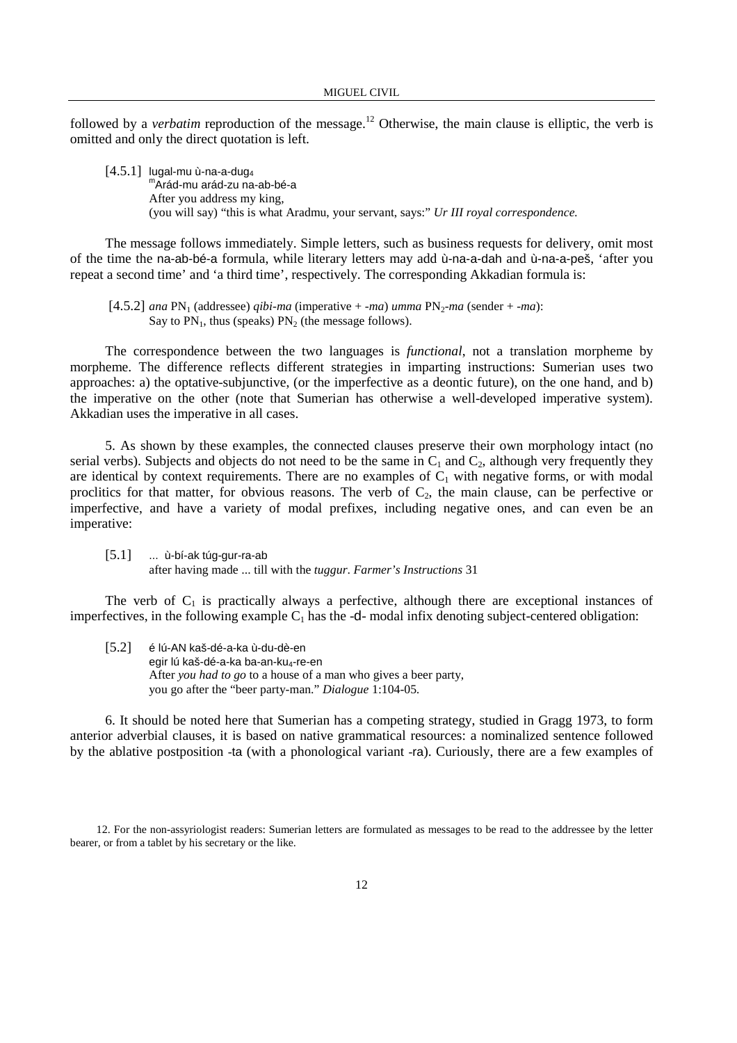followed by a *verbatim* reproduction of the message.<sup>12</sup> Otherwise, the main clause is elliptic, the verb is omitted and only the direct quotation is left.

 $[4.5.1]$  lugal-mu ù-na-a-dug<sub>4</sub> m Arád-mu arád-zu na-ab-bé-a After you address my king, (you will say) "this is what Aradmu, your servant, says:" *Ur III royal correspondence.*

The message follows immediately. Simple letters, such as business requests for delivery, omit most of the time the na-ab-bé-a formula, while literary letters may add ù-na-a-dah and ù-na-a-peš, 'after you repeat a second time' and 'a third time', respectively. The corresponding Akkadian formula is:

 $[4.5.2]$  *ana*  $PN_1$  (addressee) *qibi-ma* (imperative  $+$  *-ma*) *umma*  $PN_2$ *-ma* (sender  $+$  *-ma*): Say to  $PN_1$ , thus (speaks)  $PN_2$  (the message follows).

The correspondence between the two languages is *functional*, not a translation morpheme by morpheme. The difference reflects different strategies in imparting instructions: Sumerian uses two approaches: a) the optative-subjunctive, (or the imperfective as a deontic future), on the one hand, and b) the imperative on the other (note that Sumerian has otherwise a well-developed imperative system). Akkadian uses the imperative in all cases.

5. As shown by these examples, the connected clauses preserve their own morphology intact (no serial verbs). Subjects and objects do not need to be the same in  $C_1$  and  $C_2$ , although very frequently they are identical by context requirements. There are no examples of  $C_1$  with negative forms, or with modal proclitics for that matter, for obvious reasons. The verb of  $C_2$ , the main clause, can be perfective or imperfective, and have a variety of modal prefixes, including negative ones, and can even be an imperative:

[5.1] ... ù-bí-ak túg-gur-ra-ab after having made ... till with the *tuggur*. *Farmer's Instructions* 31

The verb of  $C_1$  is practically always a perfective, although there are exceptional instances of imperfectives, in the following example  $C_1$  has the -d- modal infix denoting subject-centered obligation:

[5.2] é lú-AN kaš-dé-a-ka ù-du-dè-en egir lú kaš-dé-a-ka ba-an-ku4-re-en After *you had to go* to a house of a man who gives a beer party, you go after the "beer party-man." *Dialogue* 1:104-05*.*

6. It should be noted here that Sumerian has a competing strategy, studied in Gragg 1973, to form anterior adverbial clauses, it is based on native grammatical resources: a nominalized sentence followed by the ablative postposition -ta (with a phonological variant -ra). Curiously, there are a few examples of

 12. For the non-assyriologist readers: Sumerian letters are formulated as messages to be read to the addressee by the letter bearer, or from a tablet by his secretary or the like.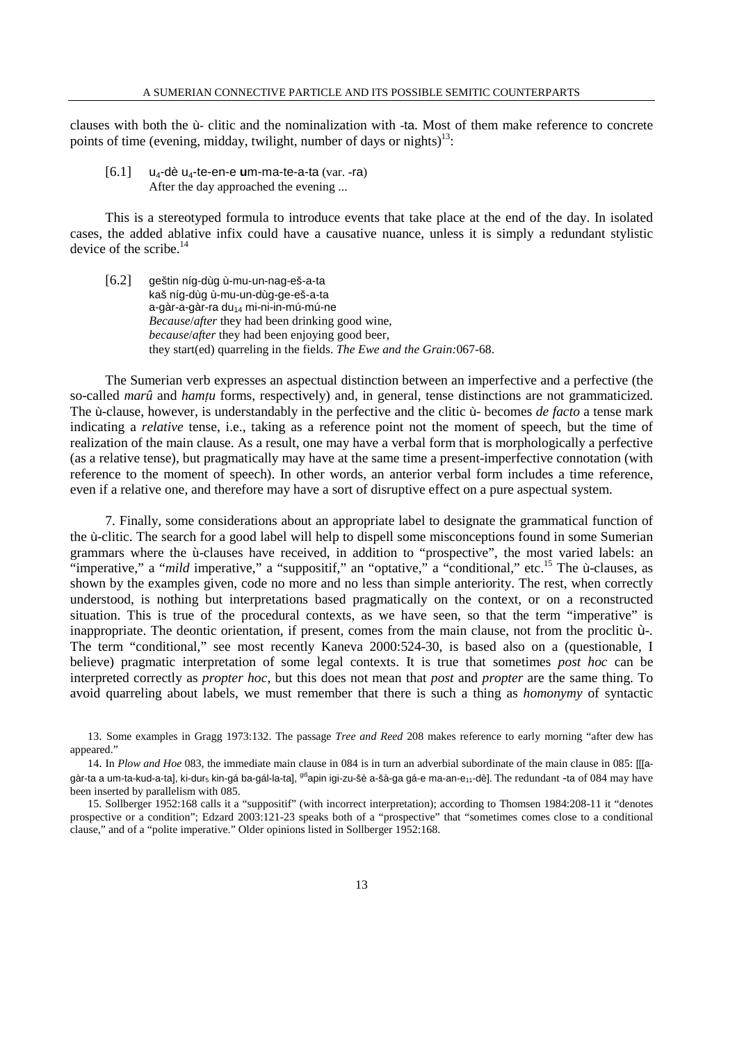clauses with both the ù- clitic and the nominalization with -ta. Most of them make reference to concrete points of time (evening, midday, twilight, number of days or nights)<sup>13</sup>:

[6.1] u4-dè u4-te-en-e **u**m-ma-te-a-ta (var. -ra) After the day approached the evening ...

This is a stereotyped formula to introduce events that take place at the end of the day. In isolated cases, the added ablative infix could have a causative nuance, unless it is simply a redundant stylistic device of the scribe. $^{14}$ 

[6.2] geštin níg-dùg ù-mu-un-nag-eš-a-ta kaš níg-dùg ù-mu-un-dùg-ge-eš-a-ta a-gàr-a-gàr-ra du<sub>14</sub> mi-ni-in-mú-mú-ne *Because*/*after* they had been drinking good wine, *because*/*after* they had been enjoying good beer, they start(ed) quarreling in the fields. *The Ewe and the Grain:*067-68.

The Sumerian verb expresses an aspectual distinction between an imperfective and a perfective (the so-called *marû* and *hamtu* forms, respectively) and, in general, tense distinctions are not grammaticized. The ù-clause, however, is understandably in the perfective and the clitic ù- becomes *de facto* a tense mark indicating a *relative* tense, i.e., taking as a reference point not the moment of speech, but the time of realization of the main clause. As a result, one may have a verbal form that is morphologically a perfective (as a relative tense), but pragmatically may have at the same time a present-imperfective connotation (with reference to the moment of speech). In other words, an anterior verbal form includes a time reference, even if a relative one, and therefore may have a sort of disruptive effect on a pure aspectual system.

7. Finally, some considerations about an appropriate label to designate the grammatical function of the ù-clitic. The search for a good label will help to dispell some misconceptions found in some Sumerian grammars where the ù-clauses have received, in addition to "prospective", the most varied labels: an "imperative," a "*mild* imperative," a "suppositif," an "optative," a "conditional," etc.<sup>15</sup> The ù-clauses, as shown by the examples given, code no more and no less than simple anteriority. The rest, when correctly understood, is nothing but interpretations based pragmatically on the context, or on a reconstructed situation. This is true of the procedural contexts, as we have seen, so that the term "imperative" is inappropriate. The deontic orientation, if present, comes from the main clause, not from the proclitic ù-. The term "conditional," see most recently Kaneva 2000:524-30, is based also on a (questionable, I believe) pragmatic interpretation of some legal contexts. It is true that sometimes *post hoc* can be interpreted correctly as *propter hoc,* but this does not mean that *post* and *propter* are the same thing. To avoid quarreling about labels, we must remember that there is such a thing as *homonymy* of syntactic

<sup>13</sup>. Some examples in Gragg 1973:132. The passage *Tree and Reed* 208 makes reference to early morning "after dew has appeared."

<sup>14</sup>. In *Plow and Hoe* 083*,* the immediate main clause in 084 is in turn an adverbial subordinate of the main clause in 085: [[[agàr-ta a um-ta-kud-a-ta], ki-dur<sub>5</sub> kin-gá ba-gál-la-ta], <sup>giš</sup>apin igi-zu-šè a-šà-ga gá-e ma-an-e<sub>11</sub>-dè]. The redundant -ta of 084 may have been inserted by parallelism with 085.

<sup>15.</sup> Sollberger 1952:168 calls it a "suppositif" (with incorrect interpretation); according to Thomsen 1984:208-11 it "denotes prospective or a condition"; Edzard 2003:121-23 speaks both of a "prospective" that "sometimes comes close to a conditional clause," and of a "polite imperative." Older opinions listed in Sollberger 1952:168.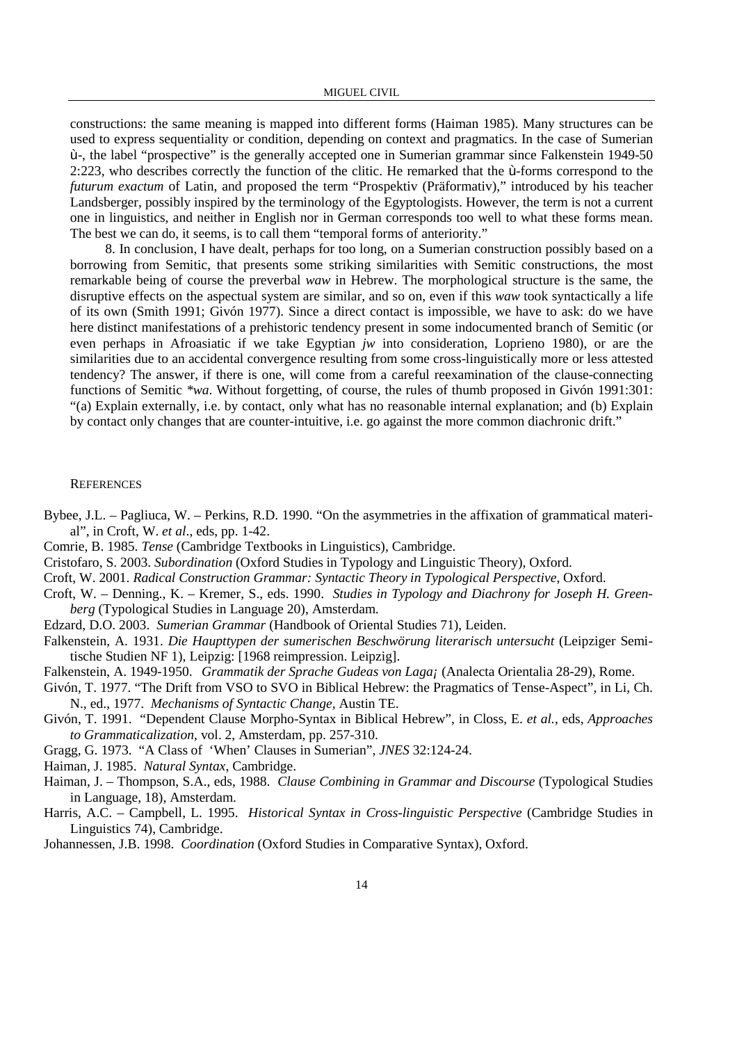constructions: the same meaning is mapped into different forms (Haiman 1985). Many structures can be used to express sequentiality or condition, depending on context and pragmatics. In the case of Sumerian ù-, the label "prospective" is the generally accepted one in Sumerian grammar since Falkenstein 1949-50 2:223, who describes correctly the function of the clitic. He remarked that the ù-forms correspond to the *futurum exactum* of Latin, and proposed the term "Prospektiv (Präformativ)," introduced by his teacher Landsberger, possibly inspired by the terminology of the Egyptologists. However, the term is not a current one in linguistics, and neither in English nor in German corresponds too well to what these forms mean. The best we can do, it seems, is to call them "temporal forms of anteriority."

8. In conclusion, I have dealt, perhaps for too long, on a Sumerian construction possibly based on a borrowing from Semitic, that presents some striking similarities with Semitic constructions, the most remarkable being of course the preverbal *waw* in Hebrew. The morphological structure is the same, the disruptive effects on the aspectual system are similar, and so on, even if this *waw* took syntactically a life of its own (Smith 1991; Givón 1977). Since a direct contact is impossible, we have to ask: do we have here distinct manifestations of a prehistoric tendency present in some indocumented branch of Semitic (or even perhaps in Afroasiatic if we take Egyptian *jw* into consideration, Loprieno 1980), or are the similarities due to an accidental convergence resulting from some cross-linguistically more or less attested tendency? The answer, if there is one, will come from a careful reexamination of the clause-connecting functions of Semitic *\*wa*. Without forgetting, of course, the rules of thumb proposed in Givón 1991:301: "(a) Explain externally, i.e. by contact, only what has no reasonable internal explanation; and (b) Explain by contact only changes that are counter-intuitive, i.e. go against the more common diachronic drift."

## **REFERENCES**

- Bybee, J.L. Pagliuca, W. Perkins, R.D. 1990. "On the asymmetries in the affixation of grammatical material", in Croft, W. *et al*., eds, pp. 1-42.
- Comrie, B. 1985. *Tense* (Cambridge Textbooks in Linguistics), Cambridge.
- Cristofaro, S. 2003. *Subordination* (Oxford Studies in Typology and Linguistic Theory), Oxford.
- Croft, W. 2001. *Radical Construction Grammar: Syntactic Theory in Typological Perspective*, Oxford.
- Croft, W. Denning., K. Kremer, S., eds. 1990. *Studies in Typology and Diachrony for Joseph H. Greenberg* (Typological Studies in Language 20), Amsterdam.
- Edzard, D.O. 2003. *Sumerian Grammar* (Handbook of Oriental Studies 71), Leiden.
- Falkenstein, A. 1931. *Die Haupttypen der sumerischen Beschwörung literarisch untersucht* (Leipziger Semitische Studien NF 1), Leipzig: [1968 reimpression. Leipzig].
- Falkenstein, A. 1949-1950. *Grammatik der Sprache Gudeas von Laga¡* (Analecta Orientalia 28-29), Rome.
- Givón, T. 1977. "The Drift from VSO to SVO in Biblical Hebrew: the Pragmatics of Tense-Aspect", in Li, Ch. N., ed., 1977. *Mechanisms of Syntactic Change,* Austin TE.
- Givón, T. 1991. "Dependent Clause Morpho-Syntax in Biblical Hebrew", in Closs, E. *et al.*, eds, *Approaches to Grammaticalization*, vol. 2, Amsterdam, pp. 257-310.
- Gragg, G. 1973. "A Class of 'When' Clauses in Sumerian", *JNES* 32:124-24.
- Haiman, J. 1985. *Natural Syntax*, Cambridge.
- Haiman, J. Thompson, S.A., eds, 1988. *Clause Combining in Grammar and Discourse* (Typological Studies in Language, 18), Amsterdam.
- Harris, A.C. Campbell, L. 1995. *Historical Syntax in Cross-linguistic Perspective* (Cambridge Studies in Linguistics 74), Cambridge.
- Johannessen, J.B. 1998. *Coordination* (Oxford Studies in Comparative Syntax), Oxford.